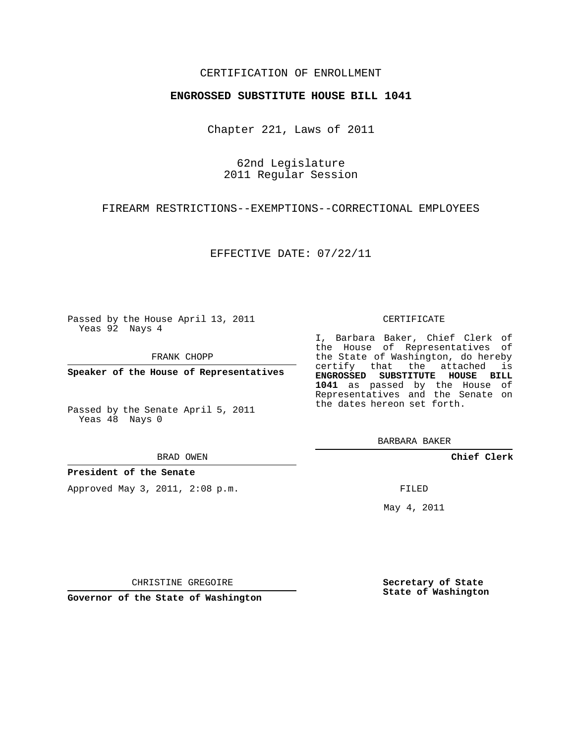## CERTIFICATION OF ENROLLMENT

### **ENGROSSED SUBSTITUTE HOUSE BILL 1041**

Chapter 221, Laws of 2011

62nd Legislature 2011 Regular Session

FIREARM RESTRICTIONS--EXEMPTIONS--CORRECTIONAL EMPLOYEES

EFFECTIVE DATE: 07/22/11

Passed by the House April 13, 2011 Yeas 92 Nays 4

FRANK CHOPP

Yeas 48 Nays 0

BRAD OWEN

**President of the Senate**

Approved May 3, 2011, 2:08 p.m.

#### CERTIFICATE

I, Barbara Baker, Chief Clerk of the House of Representatives of the State of Washington, do hereby certify that the attached is **ENGROSSED SUBSTITUTE HOUSE BILL 1041** as passed by the House of Representatives and the Senate on the dates hereon set forth.

BARBARA BAKER

**Chief Clerk**

FILED

May 4, 2011

**Secretary of State State of Washington**

CHRISTINE GREGOIRE

**Governor of the State of Washington**

**Speaker of the House of Representatives**

Passed by the Senate April 5, 2011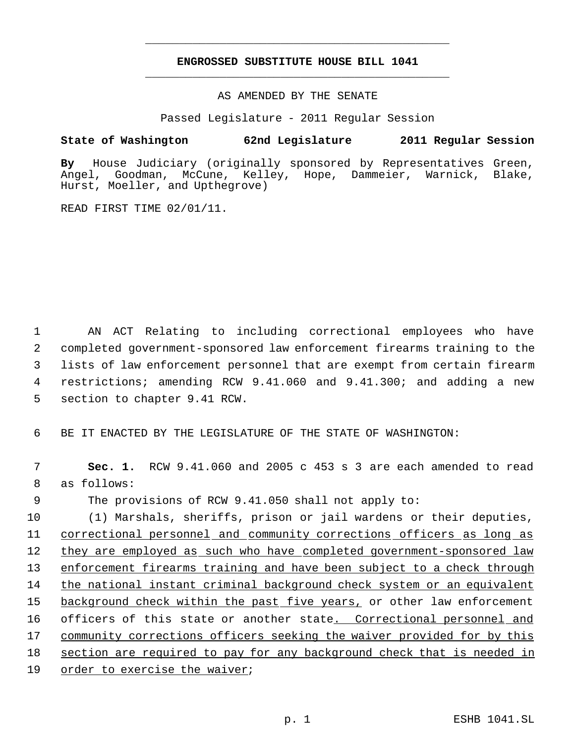# **ENGROSSED SUBSTITUTE HOUSE BILL 1041** \_\_\_\_\_\_\_\_\_\_\_\_\_\_\_\_\_\_\_\_\_\_\_\_\_\_\_\_\_\_\_\_\_\_\_\_\_\_\_\_\_\_\_\_\_

\_\_\_\_\_\_\_\_\_\_\_\_\_\_\_\_\_\_\_\_\_\_\_\_\_\_\_\_\_\_\_\_\_\_\_\_\_\_\_\_\_\_\_\_\_

AS AMENDED BY THE SENATE

Passed Legislature - 2011 Regular Session

## **State of Washington 62nd Legislature 2011 Regular Session**

**By** House Judiciary (originally sponsored by Representatives Green, Goodman, McCune, Kelley, Hope, Dammeier, Warnick, Blake, Hurst, Moeller, and Upthegrove)

READ FIRST TIME 02/01/11.

 AN ACT Relating to including correctional employees who have completed government-sponsored law enforcement firearms training to the lists of law enforcement personnel that are exempt from certain firearm restrictions; amending RCW 9.41.060 and 9.41.300; and adding a new section to chapter 9.41 RCW.

6 BE IT ENACTED BY THE LEGISLATURE OF THE STATE OF WASHINGTON:

 7 **Sec. 1.** RCW 9.41.060 and 2005 c 453 s 3 are each amended to read 8 as follows:

9 The provisions of RCW 9.41.050 shall not apply to:

10 (1) Marshals, sheriffs, prison or jail wardens or their deputies, 11 correctional personnel and community corrections officers as long as 12 they are employed as such who have completed government-sponsored law 13 enforcement firearms training and have been subject to a check through 14 the national instant criminal background check system or an equivalent 15 background check within the past five years, or other law enforcement 16 officers of this state or another state. Correctional personnel and 17 community corrections officers seeking the waiver provided for by this 18 section are required to pay for any background check that is needed in 19 order to exercise the waiver;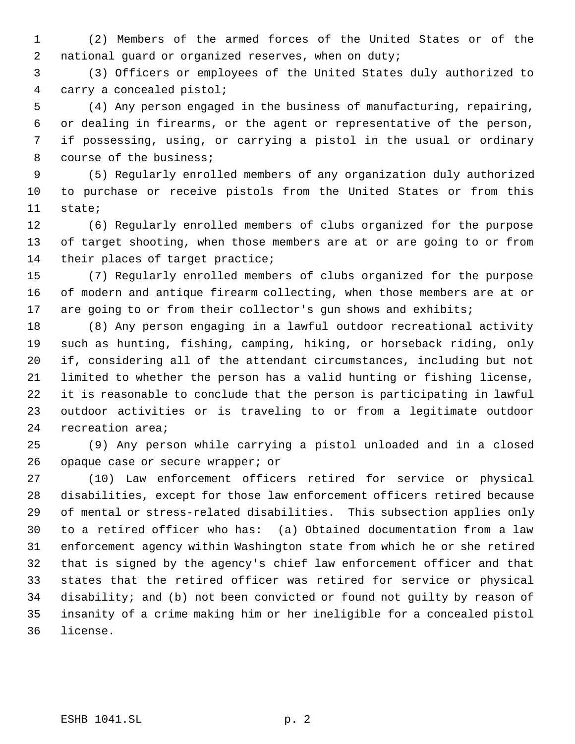(2) Members of the armed forces of the United States or of the 2 national guard or organized reserves, when on duty;

 (3) Officers or employees of the United States duly authorized to carry a concealed pistol;

 (4) Any person engaged in the business of manufacturing, repairing, or dealing in firearms, or the agent or representative of the person, if possessing, using, or carrying a pistol in the usual or ordinary 8 course of the business;

 (5) Regularly enrolled members of any organization duly authorized to purchase or receive pistols from the United States or from this state;

 (6) Regularly enrolled members of clubs organized for the purpose of target shooting, when those members are at or are going to or from 14 their places of target practice;

 (7) Regularly enrolled members of clubs organized for the purpose of modern and antique firearm collecting, when those members are at or 17 are going to or from their collector's gun shows and exhibits;

 (8) Any person engaging in a lawful outdoor recreational activity such as hunting, fishing, camping, hiking, or horseback riding, only if, considering all of the attendant circumstances, including but not limited to whether the person has a valid hunting or fishing license, it is reasonable to conclude that the person is participating in lawful outdoor activities or is traveling to or from a legitimate outdoor recreation area;

 (9) Any person while carrying a pistol unloaded and in a closed opaque case or secure wrapper; or

 (10) Law enforcement officers retired for service or physical disabilities, except for those law enforcement officers retired because of mental or stress-related disabilities. This subsection applies only to a retired officer who has: (a) Obtained documentation from a law enforcement agency within Washington state from which he or she retired that is signed by the agency's chief law enforcement officer and that states that the retired officer was retired for service or physical disability; and (b) not been convicted or found not guilty by reason of insanity of a crime making him or her ineligible for a concealed pistol license.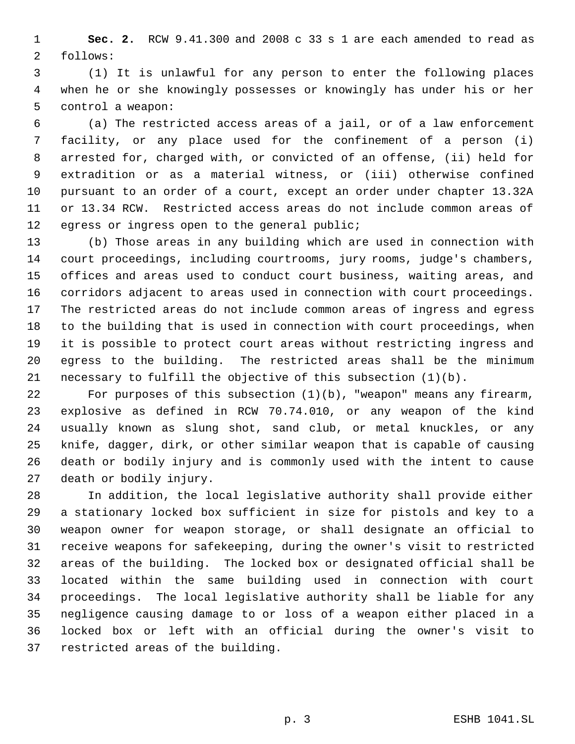**Sec. 2.** RCW 9.41.300 and 2008 c 33 s 1 are each amended to read as follows:

 (1) It is unlawful for any person to enter the following places when he or she knowingly possesses or knowingly has under his or her control a weapon:

 (a) The restricted access areas of a jail, or of a law enforcement facility, or any place used for the confinement of a person (i) arrested for, charged with, or convicted of an offense, (ii) held for extradition or as a material witness, or (iii) otherwise confined pursuant to an order of a court, except an order under chapter 13.32A or 13.34 RCW. Restricted access areas do not include common areas of 12 egress or ingress open to the general public;

 (b) Those areas in any building which are used in connection with court proceedings, including courtrooms, jury rooms, judge's chambers, offices and areas used to conduct court business, waiting areas, and corridors adjacent to areas used in connection with court proceedings. The restricted areas do not include common areas of ingress and egress to the building that is used in connection with court proceedings, when it is possible to protect court areas without restricting ingress and egress to the building. The restricted areas shall be the minimum necessary to fulfill the objective of this subsection (1)(b).

 For purposes of this subsection (1)(b), "weapon" means any firearm, explosive as defined in RCW 70.74.010, or any weapon of the kind usually known as slung shot, sand club, or metal knuckles, or any knife, dagger, dirk, or other similar weapon that is capable of causing death or bodily injury and is commonly used with the intent to cause death or bodily injury.

 In addition, the local legislative authority shall provide either a stationary locked box sufficient in size for pistols and key to a weapon owner for weapon storage, or shall designate an official to receive weapons for safekeeping, during the owner's visit to restricted areas of the building. The locked box or designated official shall be located within the same building used in connection with court proceedings. The local legislative authority shall be liable for any negligence causing damage to or loss of a weapon either placed in a locked box or left with an official during the owner's visit to restricted areas of the building.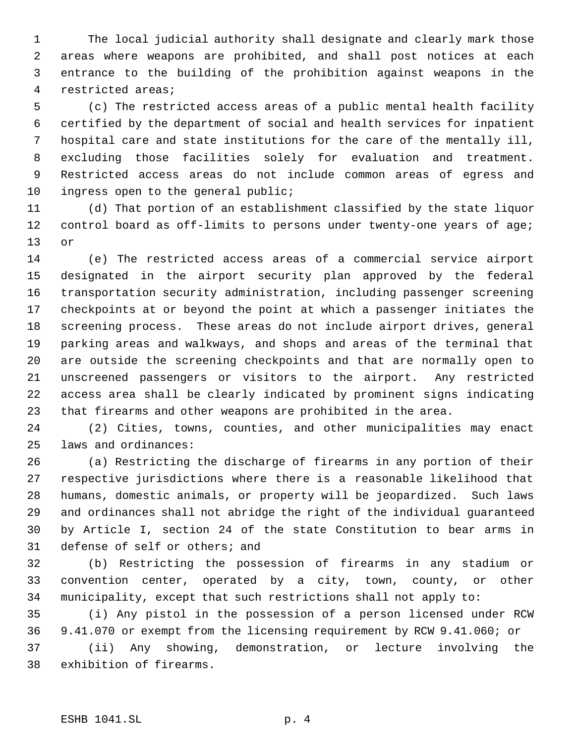The local judicial authority shall designate and clearly mark those areas where weapons are prohibited, and shall post notices at each entrance to the building of the prohibition against weapons in the restricted areas;

 (c) The restricted access areas of a public mental health facility certified by the department of social and health services for inpatient hospital care and state institutions for the care of the mentally ill, excluding those facilities solely for evaluation and treatment. Restricted access areas do not include common areas of egress and 10 ingress open to the general public;

 (d) That portion of an establishment classified by the state liquor control board as off-limits to persons under twenty-one years of age; or

 (e) The restricted access areas of a commercial service airport designated in the airport security plan approved by the federal transportation security administration, including passenger screening checkpoints at or beyond the point at which a passenger initiates the screening process. These areas do not include airport drives, general parking areas and walkways, and shops and areas of the terminal that are outside the screening checkpoints and that are normally open to unscreened passengers or visitors to the airport. Any restricted access area shall be clearly indicated by prominent signs indicating that firearms and other weapons are prohibited in the area.

 (2) Cities, towns, counties, and other municipalities may enact laws and ordinances:

 (a) Restricting the discharge of firearms in any portion of their respective jurisdictions where there is a reasonable likelihood that humans, domestic animals, or property will be jeopardized. Such laws and ordinances shall not abridge the right of the individual guaranteed by Article I, section 24 of the state Constitution to bear arms in defense of self or others; and

 (b) Restricting the possession of firearms in any stadium or convention center, operated by a city, town, county, or other municipality, except that such restrictions shall not apply to:

 (i) Any pistol in the possession of a person licensed under RCW 9.41.070 or exempt from the licensing requirement by RCW 9.41.060; or (ii) Any showing, demonstration, or lecture involving the exhibition of firearms.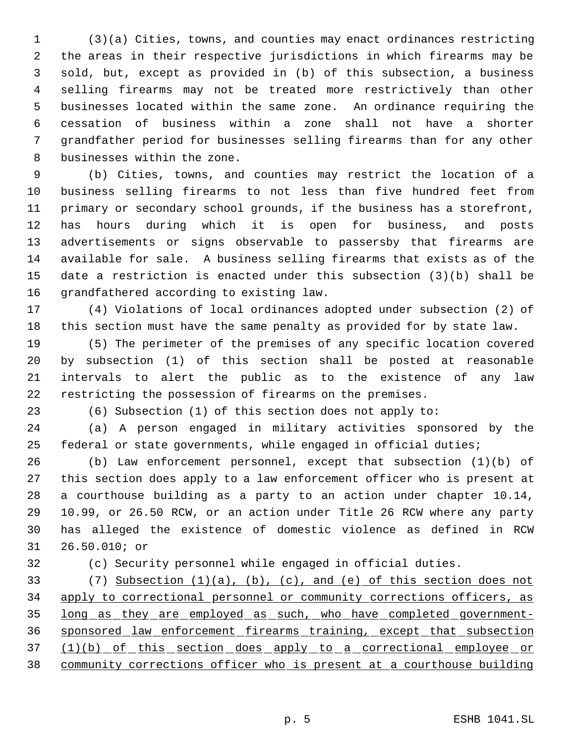(3)(a) Cities, towns, and counties may enact ordinances restricting the areas in their respective jurisdictions in which firearms may be sold, but, except as provided in (b) of this subsection, a business selling firearms may not be treated more restrictively than other businesses located within the same zone. An ordinance requiring the cessation of business within a zone shall not have a shorter grandfather period for businesses selling firearms than for any other businesses within the zone.

 (b) Cities, towns, and counties may restrict the location of a business selling firearms to not less than five hundred feet from primary or secondary school grounds, if the business has a storefront, has hours during which it is open for business, and posts advertisements or signs observable to passersby that firearms are available for sale. A business selling firearms that exists as of the date a restriction is enacted under this subsection (3)(b) shall be grandfathered according to existing law.

 (4) Violations of local ordinances adopted under subsection (2) of this section must have the same penalty as provided for by state law.

 (5) The perimeter of the premises of any specific location covered by subsection (1) of this section shall be posted at reasonable intervals to alert the public as to the existence of any law restricting the possession of firearms on the premises.

(6) Subsection (1) of this section does not apply to:

 (a) A person engaged in military activities sponsored by the federal or state governments, while engaged in official duties;

 (b) Law enforcement personnel, except that subsection (1)(b) of this section does apply to a law enforcement officer who is present at a courthouse building as a party to an action under chapter 10.14, 10.99, or 26.50 RCW, or an action under Title 26 RCW where any party has alleged the existence of domestic violence as defined in RCW 26.50.010; or

(c) Security personnel while engaged in official duties.

 (7) Subsection (1)(a), (b), (c), and (e) of this section does not 34 apply to correctional personnel or community corrections officers, as long as they are employed as such, who have completed government- sponsored law enforcement firearms training, except that subsection 37 (1)(b) of this section does apply to a correctional employee or community corrections officer who is present at a courthouse building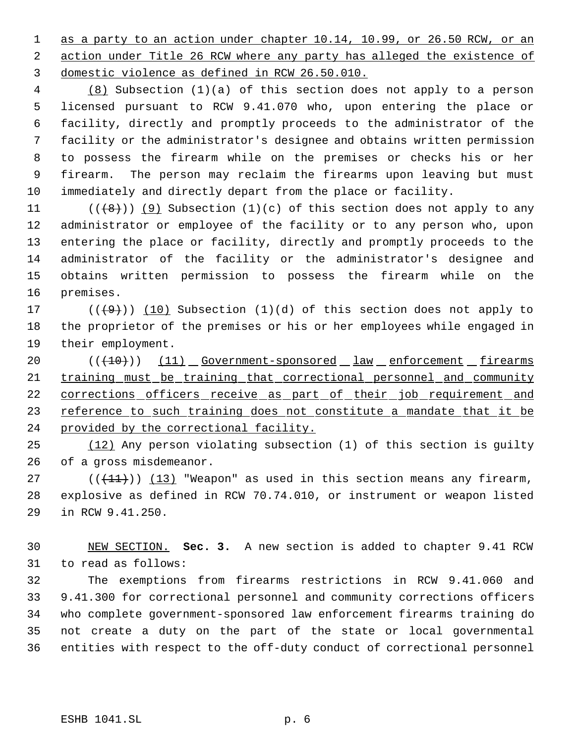1 as a party to an action under chapter 10.14, 10.99, or 26.50 RCW, or an action under Title 26 RCW where any party has alleged the existence of domestic violence as defined in RCW 26.50.010.

 (8) Subsection (1)(a) of this section does not apply to a person licensed pursuant to RCW 9.41.070 who, upon entering the place or facility, directly and promptly proceeds to the administrator of the facility or the administrator's designee and obtains written permission to possess the firearm while on the premises or checks his or her firearm. The person may reclaim the firearms upon leaving but must immediately and directly depart from the place or facility.

 $((+8))$  (9) Subsection (1)(c) of this section does not apply to any administrator or employee of the facility or to any person who, upon entering the place or facility, directly and promptly proceeds to the administrator of the facility or the administrator's designee and obtains written permission to possess the firearm while on the premises.

17  $((+9))$   $(10)$  Subsection  $(1)(d)$  of this section does not apply to the proprietor of the premises or his or her employees while engaged in their employment.

20 (( $\left(10\right)$ ) (11) Government-sponsored law enforcement firearms 21 training must be training that correctional personnel and community 22 corrections officers receive as part of their job requirement and 23 reference to such training does not constitute a mandate that it be provided by the correctional facility.

 (12) Any person violating subsection (1) of this section is guilty of a gross misdemeanor.

 $((+1)^2)$   $(13)$  "Weapon" as used in this section means any firearm, explosive as defined in RCW 70.74.010, or instrument or weapon listed in RCW 9.41.250.

 NEW SECTION. **Sec. 3.** A new section is added to chapter 9.41 RCW to read as follows:

 The exemptions from firearms restrictions in RCW 9.41.060 and 9.41.300 for correctional personnel and community corrections officers who complete government-sponsored law enforcement firearms training do not create a duty on the part of the state or local governmental entities with respect to the off-duty conduct of correctional personnel